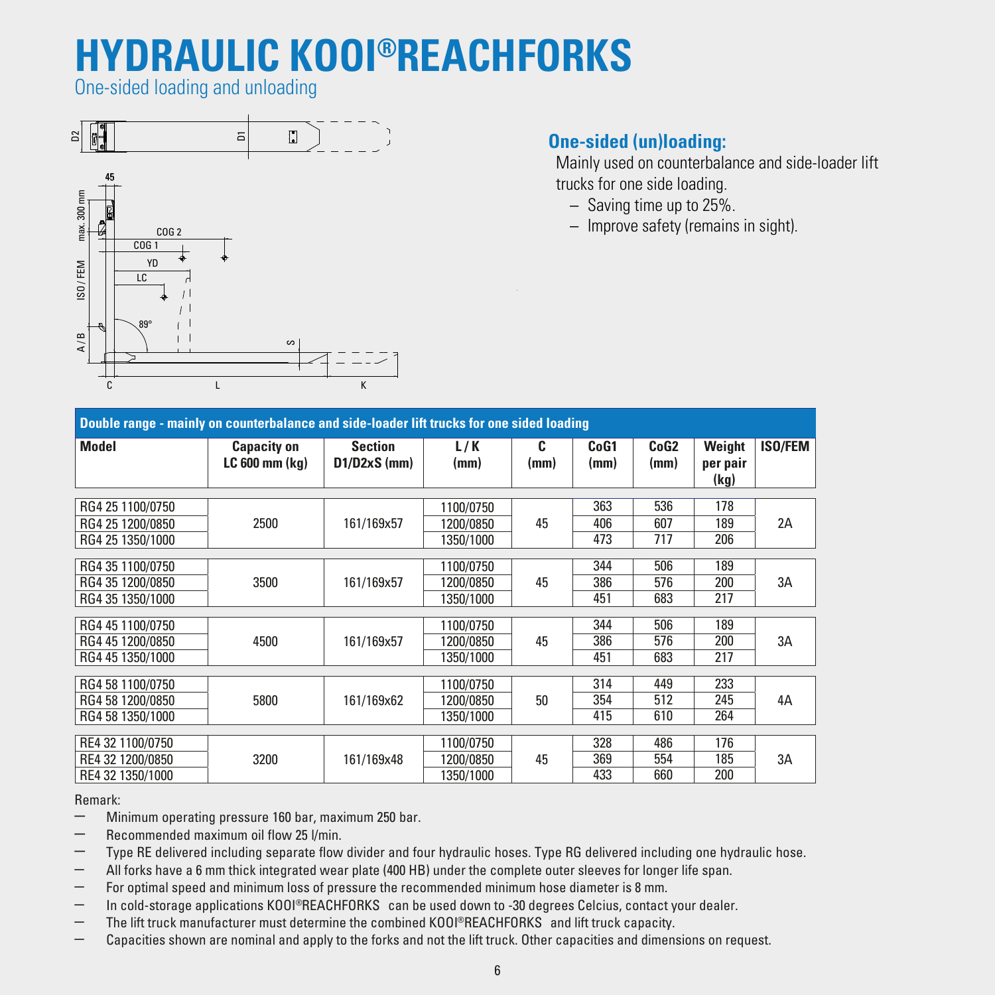## **HYDRAULIC KOOI®REACHFORKS**

One-sided loading and unloading



## **One-sided (un)loading:**

 Mainly used on counterbalance and side-loader lift trucks for one side loading.

- Saving time up to 25%.
- Improve safety (remains in sight).

| Double range - mainly on counterbalance and side-loader lift trucks for one sided loading |                                          |                                  |             |           |              |                          |                    |                |  |  |
|-------------------------------------------------------------------------------------------|------------------------------------------|----------------------------------|-------------|-----------|--------------|--------------------------|--------------------|----------------|--|--|
| Model                                                                                     | <b>Capacity on</b><br>$LC 600$ mm $(kq)$ | <b>Section</b><br>$D1/D2xS$ (mm) | L/K<br>(mm) | C<br>(mm) | CoG1<br>(mm) | CoG <sub>2</sub><br>(mm) | Weight<br>per pair | <b>ISO/FEM</b> |  |  |
|                                                                                           |                                          |                                  |             |           |              |                          | (kg)               |                |  |  |
| RG4 25 1100/0750                                                                          |                                          |                                  | 1100/0750   |           | 363          | 536                      | 178                |                |  |  |
| RG4 25 1200/0850                                                                          | 2500                                     | 161/169x57                       | 1200/0850   | 45        | 406          | 607                      | 189                | 2A             |  |  |
| RG4 25 1350/1000                                                                          |                                          |                                  | 1350/1000   |           | 473          | 717                      | 206                |                |  |  |
|                                                                                           |                                          |                                  |             |           |              |                          |                    |                |  |  |
| RG4 35 1100/0750                                                                          |                                          |                                  | 1100/0750   |           | 344          | 506                      | 189                |                |  |  |
| RG4 35 1200/0850                                                                          | 3500                                     | 161/169x57                       | 1200/0850   | 45        | 386          | 576                      | 200                | 3A             |  |  |
| RG4 35 1350/1000                                                                          |                                          |                                  | 1350/1000   |           | 451          | 683                      | 217                |                |  |  |
|                                                                                           |                                          |                                  |             |           |              |                          |                    |                |  |  |
| RG4 45 1100/0750                                                                          |                                          |                                  | 1100/0750   |           | 344          | 506                      | 189                |                |  |  |
| RG4 45 1200/0850                                                                          | 4500                                     | 161/169x57                       | 1200/0850   | 45        | 386          | 576                      | 200                | 3A             |  |  |
| RG4 45 1350/1000                                                                          |                                          |                                  | 1350/1000   |           | 451          | 683                      | 217                |                |  |  |
|                                                                                           |                                          |                                  |             |           |              |                          |                    |                |  |  |
| RG4 58 1100/0750                                                                          |                                          |                                  | 1100/0750   |           | 314          | 449                      | 233                |                |  |  |
| RG4 58 1200/0850                                                                          | 5800                                     | 161/169x62                       | 1200/0850   | 50        | 354          | 512                      | 245                | 4A             |  |  |
| RG4 58 1350/1000                                                                          |                                          |                                  | 1350/1000   |           | 415          | 610                      | 264                |                |  |  |
|                                                                                           |                                          |                                  |             |           |              |                          |                    |                |  |  |
| RE4 32 1100/0750                                                                          |                                          |                                  | 1100/0750   |           | 328          | 486                      | 176                |                |  |  |
| RE4 32 1200/0850                                                                          | 3200                                     | 161/169x48                       | 1200/0850   | 45        | 369          | 554                      | 185                | 3A             |  |  |
| RE4 32 1350/1000                                                                          |                                          |                                  | 1350/1000   |           | 433          | 660                      | 200                |                |  |  |

Remark:

– Minimum operating pressure <sup>160</sup> bar, maximum <sup>250</sup> bar.

– Recommended maximum oil flow <sup>25</sup> l/min.

– Type RE delivered including separate flow divider and four hydraulic hoses. Type RG delivered including one hydraulic hose.

– All forks have a 6 mm thick integrated wear plate (400 HB) under the complete outer sleeves for longer life span.

– For optimal speed and minimum loss of pressure the recommended minimum hose diameter is 8 mm.

 $-$  In cold-storage applications KOOI®REACHFORKS can be used down to -30 degrees Celcius, contact your dealer.

The lift truck manufacturer must determine the combined KOOI®REACHFORKS and lift truck capacity.

– Capacities shown are nominal and apply to the forks and not the lift truck. Other capacities and dimensions on request.